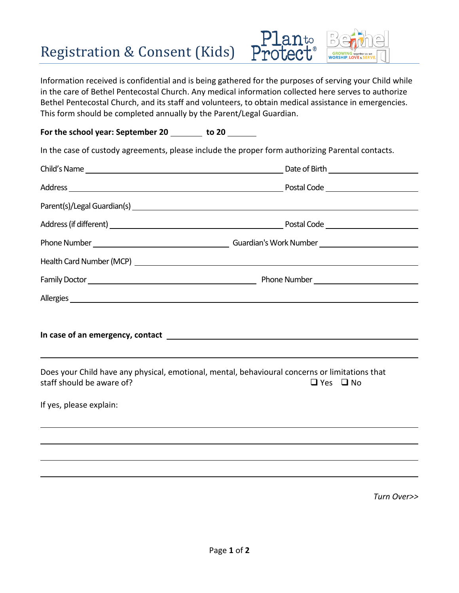## Registration & Consent (Kids)



Information received is confidential and is being gathered for the purposes of serving your Child while in the care of Bethel Pentecostal Church. Any medical information collected here serves to authorize Bethel Pentecostal Church, and its staff and volunteers, to obtain medical assistance in emergencies. This form should be completed annually by the Parent/Legal Guardian.

For the school year: September 20 \_\_\_\_\_\_ to 20 \_\_\_\_\_\_

In the case of custody agreements, please include the proper form authorizing Parental contacts.

|                           | Parent(s)/Legal Guardian(s) expression and the contract of the contract of the contract of the contract of the contract of the contract of the contract of the contract of the contract of the contract of the contract of the |
|---------------------------|--------------------------------------------------------------------------------------------------------------------------------------------------------------------------------------------------------------------------------|
|                           |                                                                                                                                                                                                                                |
|                           |                                                                                                                                                                                                                                |
|                           |                                                                                                                                                                                                                                |
|                           |                                                                                                                                                                                                                                |
|                           | Allergies et al. 2008 and 2008 and 2008 and 2008 and 2008 and 2008 and 2008 and 2008 and 2008 and 2008 and 200                                                                                                                 |
|                           |                                                                                                                                                                                                                                |
| staff should be aware of? | Does your Child have any physical, emotional, mental, behavioural concerns or limitations that<br>$\Box$ Yes $\Box$ No                                                                                                         |
| If yes, please explain:   |                                                                                                                                                                                                                                |
|                           |                                                                                                                                                                                                                                |
|                           |                                                                                                                                                                                                                                |
|                           |                                                                                                                                                                                                                                |
|                           |                                                                                                                                                                                                                                |

*Turn Over>>*